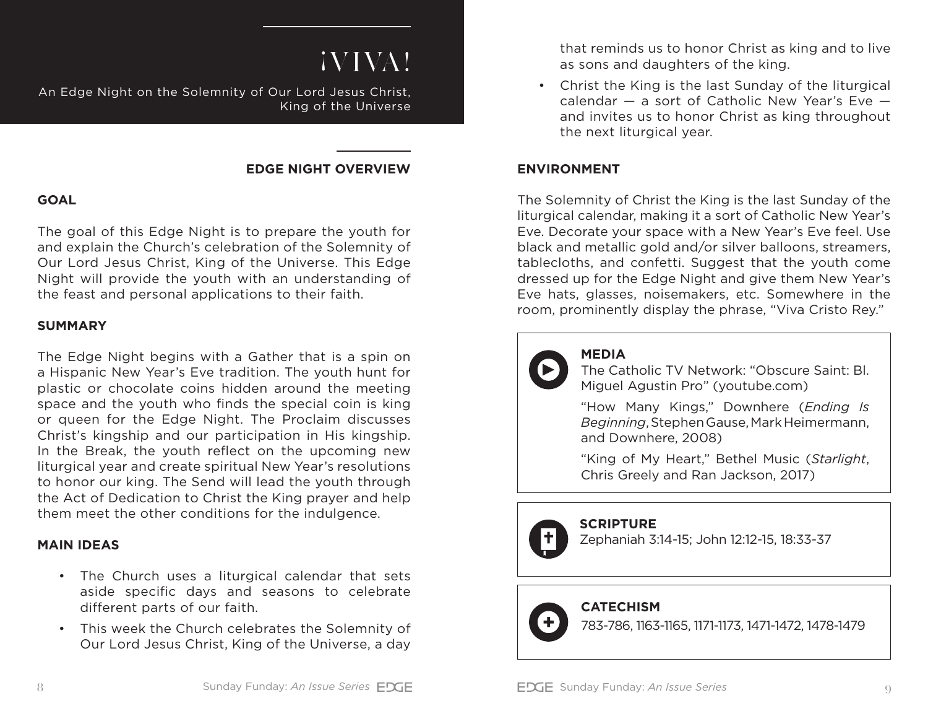# ¡VIVA!

An Edge Night on the Solemnity of Our Lord Jesus Christ, King of the Universe

#### **EDGE NIGHT OVERVIEW**

## **GOAL**

The goal of this Edge Night is to prepare the youth for and explain the Church's celebration of the Solemnity of Our Lord Jesus Christ, King of the Universe. This Edge Night will provide the youth with an understanding of the feast and personal applications to their faith.

#### **SUMMARY**

The Edge Night begins with a Gather that is a spin on a Hispanic New Year's Eve tradition. The youth hunt for plastic or chocolate coins hidden around the meeting space and the youth who finds the special coin is king or queen for the Edge Night. The Proclaim discusses Christ's kingship and our participation in His kingship. In the Break, the youth reflect on the upcoming new liturgical year and create spiritual New Year's resolutions to honor our king. The Send will lead the youth through the Act of Dedication to Christ the King prayer and help them meet the other conditions for the indulgence.

### **MAIN IDEAS**

- The Church uses a liturgical calendar that sets aside specific days and seasons to celebrate different parts of our faith.
- This week the Church celebrates the Solemnity of Our Lord Jesus Christ, King of the Universe, a day

that reminds us to honor Christ as king and to live as sons and daughters of the king.

• Christ the King is the last Sunday of the liturgical calendar — a sort of Catholic New Year's Eve and invites us to honor Christ as king throughout the next liturgical year.

### **ENVIRONMENT**

The Solemnity of Christ the King is the last Sunday of the liturgical calendar, making it a sort of Catholic New Year's Eve. Decorate your space with a New Year's Eve feel. Use black and metallic gold and/or silver balloons, streamers, tablecloths, and confetti. Suggest that the youth come dressed up for the Edge Night and give them New Year's Eve hats, glasses, noisemakers, etc. Somewhere in the room, prominently display the phrase, "Viva Cristo Rey."



# **MEDIA**

The Catholic TV Network: "Obscure Saint: Bl. Miguel Agustin Pro" (youtube.com)

"How Many Kings," Downhere (*Ending Is Beginning*, Stephen Gause, Mark Heimermann, and Downhere, 2008)

"King of My Heart," Bethel Music (*Starlight*, Chris Greely and Ran Jackson, 2017)

# **SCRIPTURE**

Put this in red as it is not the final title Zephaniah 3:14-15; John 12:12-15, 18:33-37

# **CATECHISM**

783-786, 1163-1165, 1171-1173, 1471-1472, 1478-1479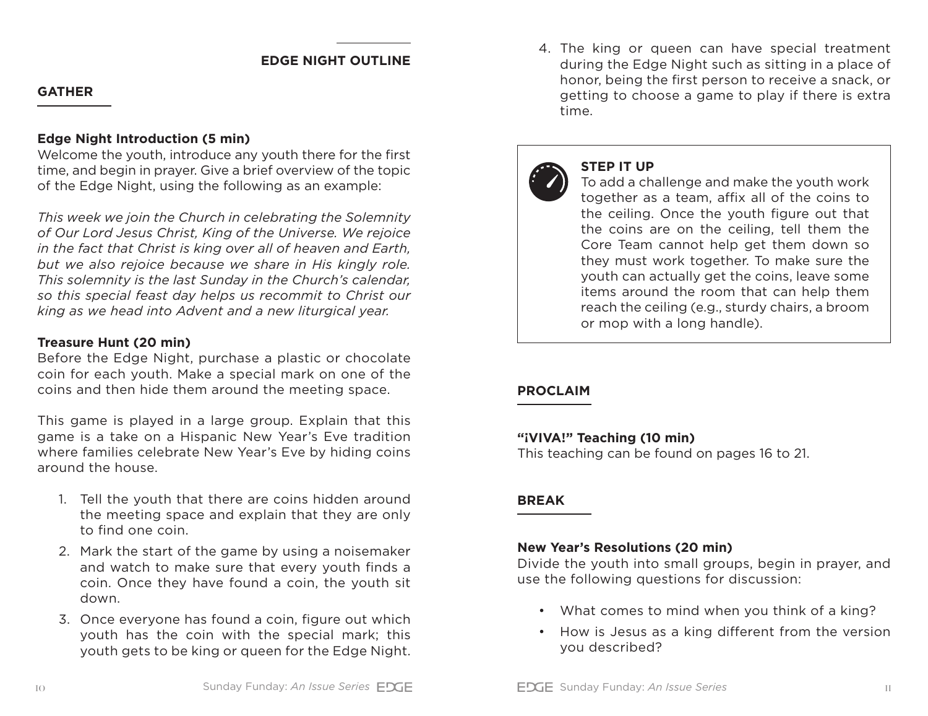#### **EDGE NIGHT OUTLINE**

#### **GATHER**

#### **Edge Night Introduction (5 min)**

Welcome the youth, introduce any youth there for the first time, and begin in prayer. Give a brief overview of the topic of the Edge Night, using the following as an example:

*This week we join the Church in celebrating the Solemnity of Our Lord Jesus Christ, King of the Universe. We rejoice in the fact that Christ is king over all of heaven and Earth, but we also rejoice because we share in His kingly role. This solemnity is the last Sunday in the Church's calendar, so this special feast day helps us recommit to Christ our king as we head into Advent and a new liturgical year.*

#### **Treasure Hunt (20 min)**

Before the Edge Night, purchase a plastic or chocolate coin for each youth. Make a special mark on one of the coins and then hide them around the meeting space.

This game is played in a large group. Explain that this game is a take on a Hispanic New Year's Eve tradition where families celebrate New Year's Eve by hiding coins around the house.

- 1. Tell the youth that there are coins hidden around the meeting space and explain that they are only to find one coin.
- 2. Mark the start of the game by using a noisemaker and watch to make sure that every youth finds a coin. Once they have found a coin, the youth sit down.
- 3. Once everyone has found a coin, figure out which youth has the coin with the special mark; this youth gets to be king or queen for the Edge Night.

4. The king or queen can have special treatment during the Edge Night such as sitting in a place of honor, being the first person to receive a snack, or getting to choose a game to play if there is extra time.



#### **STEP IT UP**

To add a challenge and make the youth work together as a team, affix all of the coins to the ceiling. Once the youth figure out that the coins are on the ceiling, tell them the Core Team cannot help get them down so they must work together. To make sure the youth can actually get the coins, leave some items around the room that can help them reach the ceiling (e.g., sturdy chairs, a broom or mop with a long handle).

#### **PROCLAIM**

#### **"¡VIVA!" Teaching (10 min)**

This teaching can be found on pages 16 to 21.

#### **BREAK**

#### **New Year's Resolutions (20 min)**

Divide the youth into small groups, begin in prayer, and use the following questions for discussion:

- What comes to mind when you think of a king?
- How is Jesus as a king different from the version you described?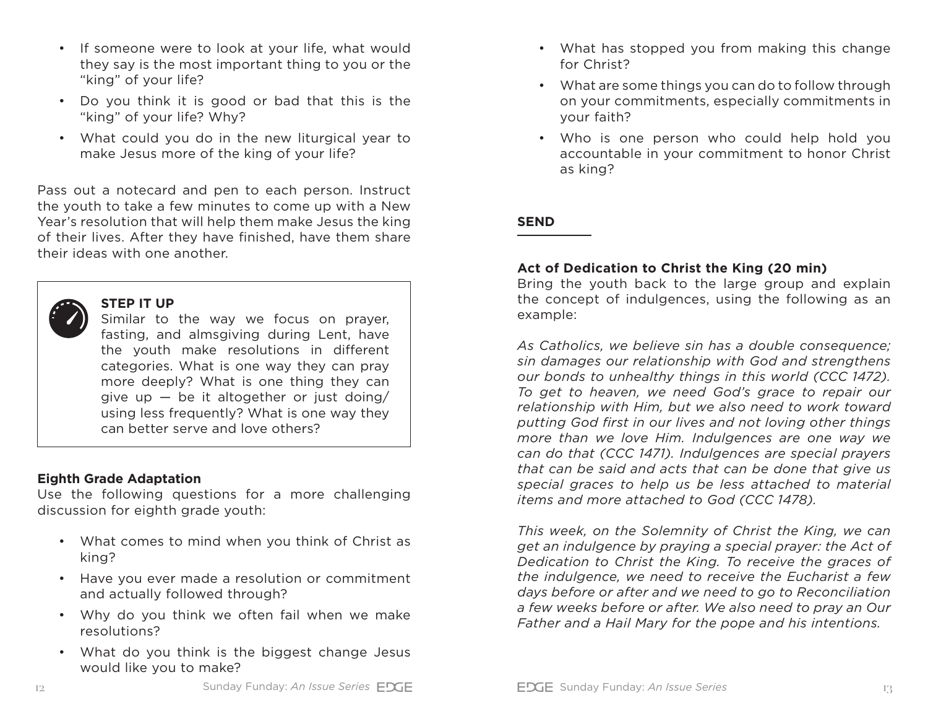- If someone were to look at your life, what would they say is the most important thing to you or the "king" of your life?
- Do you think it is good or bad that this is the "king" of your life? Why?
- What could you do in the new liturgical year to make Jesus more of the king of your life?

Pass out a notecard and pen to each person. Instruct the youth to take a few minutes to come up with a New Year's resolution that will help them make Jesus the king of their lives. After they have finished, have them share their ideas with one another.



#### **STEP IT UP**

Similar to the way we focus on prayer, fasting, and almsgiving during Lent, have the youth make resolutions in different categories. What is one way they can pray more deeply? What is one thing they can give up  $-$  be it altogether or just doing/ using less frequently? What is one way they can better serve and love others?

#### **Eighth Grade Adaptation**

Use the following questions for a more challenging discussion for eighth grade youth:

- What comes to mind when you think of Christ as king?
- Have you ever made a resolution or commitment and actually followed through?
- Why do you think we often fail when we make resolutions?
- What do you think is the biggest change Jesus would like you to make?
- What has stopped you from making this change for Christ?
- What are some things you can do to follow through on your commitments, especially commitments in your faith?
- Who is one person who could help hold you accountable in your commitment to honor Christ as king?

#### **SEND**

#### **Act of Dedication to Christ the King (20 min)**

Bring the youth back to the large group and explain the concept of indulgences, using the following as an example:

*As Catholics, we believe sin has a double consequence; sin damages our relationship with God and strengthens our bonds to unhealthy things in this world (CCC 1472). To get to heaven, we need God's grace to repair our relationship with Him, but we also need to work toward putting God first in our lives and not loving other things more than we love Him. Indulgences are one way we can do that (CCC 1471). Indulgences are special prayers that can be said and acts that can be done that give us special graces to help us be less attached to material items and more attached to God (CCC 1478).* 

*This week, on the Solemnity of Christ the King, we can get an indulgence by praying a special prayer: the Act of Dedication to Christ the King. To receive the graces of the indulgence, we need to receive the Eucharist a few days before or after and we need to go to Reconciliation a few weeks before or after. We also need to pray an Our Father and a Hail Mary for the pope and his intentions.*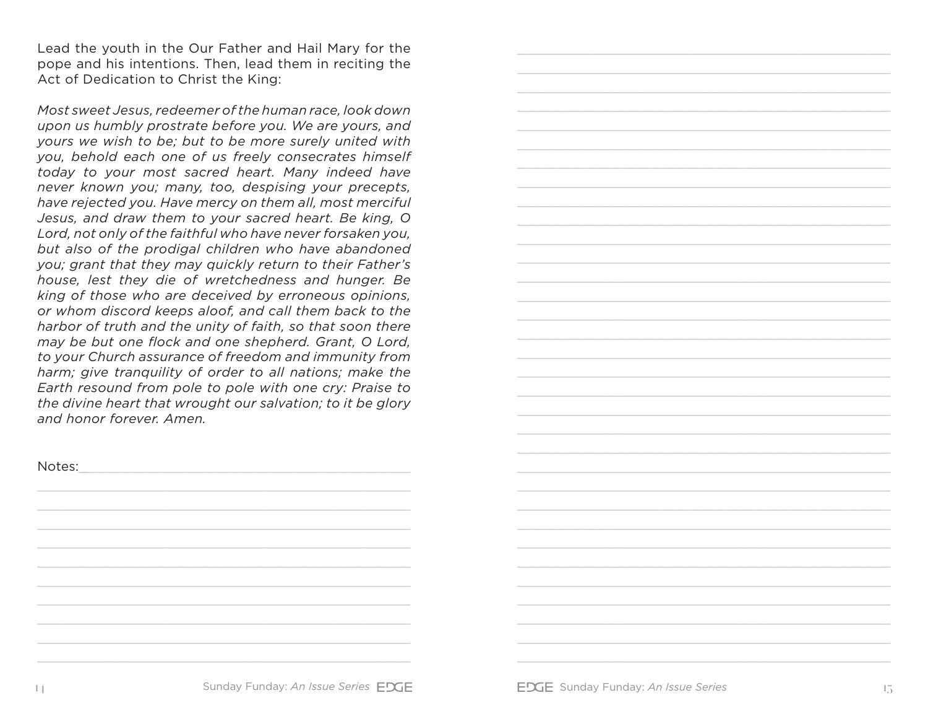Lead the youth in the Our Father and Hail Mary for the pope and his intentions. Then, lead them in reciting the Act of Dedication to Christ the King:

*Most sweet Jesus, redeemer of the human race, look down upon us humbly prostrate before you. We are yours, and yours we wish to be; but to be more surely united with you, behold each one of us freely consecrates himself today to your most sacred heart. Many indeed have never known you; many, too, despising your precepts, have rejected you. Have mercy on them all, most merciful Jesus, and draw them to your sacred heart. Be king, O Lord, not only of the faithful who have never forsaken you, but also of the prodigal children who have abandoned you; grant that they may quickly return to their Father's house, lest they die of wretchedness and hunger. Be king of those who are deceived by erroneous opinions, or whom discord keeps aloof, and call them back to the harbor of truth and the unity of faith, so that soon there may be but one flock and one shepherd. Grant, O Lord, to your Church assurance of freedom and immunity from harm; give tranquility of order to all nations; make the Earth resound from pole to pole with one cry: Praise to the divine heart that wrought our salvation; to it be glory and honor forever. Amen.*

Notes: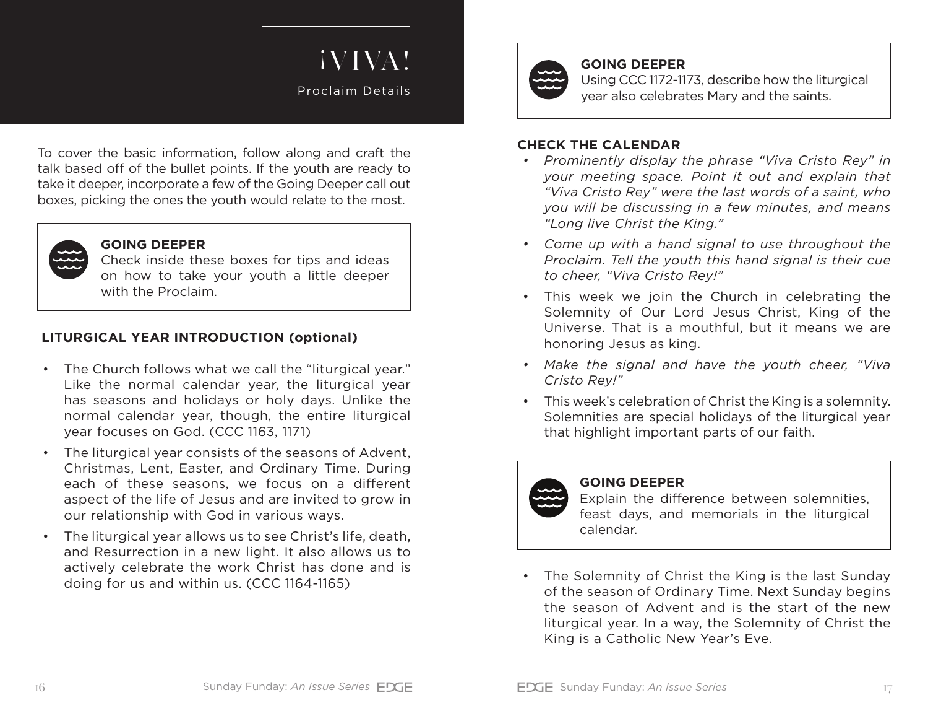# ¡VIVA!

Proclaim Details

To cover the basic information, follow along and craft the talk based off of the bullet points. If the youth are ready to take it deeper, incorporate a few of the Going Deeper call out boxes, picking the ones the youth would relate to the most.

# **GOING DEEPER**

Check inside these boxes for tips and ideas on how to take your youth a little deeper with the Proclaim.

# **LITURGICAL YEAR INTRODUCTION (optional)**

- The Church follows what we call the "liturgical year." Like the normal calendar year, the liturgical year has seasons and holidays or holy days. Unlike the normal calendar year, though, the entire liturgical year focuses on God. (CCC 1163, 1171)
- The liturgical year consists of the seasons of Advent, Christmas, Lent, Easter, and Ordinary Time. During each of these seasons, we focus on a different aspect of the life of Jesus and are invited to grow in our relationship with God in various ways.
- The liturgical year allows us to see Christ's life, death, and Resurrection in a new light. It also allows us to actively celebrate the work Christ has done and is doing for us and within us. (CCC 1164-1165)



#### **GOING DEEPER**

Using CCC 1172-1173, describe how the liturgical year also celebrates Mary and the saints.

#### **CHECK THE CALENDAR**

- *• Prominently display the phrase "Viva Cristo Rey" in your meeting space. Point it out and explain that "Viva Cristo Rey" were the last words of a saint, who you will be discussing in a few minutes, and means "Long live Christ the King."*
- *• Come up with a hand signal to use throughout the Proclaim. Tell the youth this hand signal is their cue to cheer, "Viva Cristo Rey!"*
- This week we join the Church in celebrating the Solemnity of Our Lord Jesus Christ, King of the Universe. That is a mouthful, but it means we are honoring Jesus as king.
- *• Make the signal and have the youth cheer, "Viva Cristo Rey!"*
- This week's celebration of Christ the King is a solemnity. Solemnities are special holidays of the liturgical year that highlight important parts of our faith.



### **GOING DEEPER**

Explain the difference between solemnities, feast days, and memorials in the liturgical calendar.

• The Solemnity of Christ the King is the last Sunday of the season of Ordinary Time. Next Sunday begins the season of Advent and is the start of the new liturgical year. In a way, the Solemnity of Christ the King is a Catholic New Year's Eve.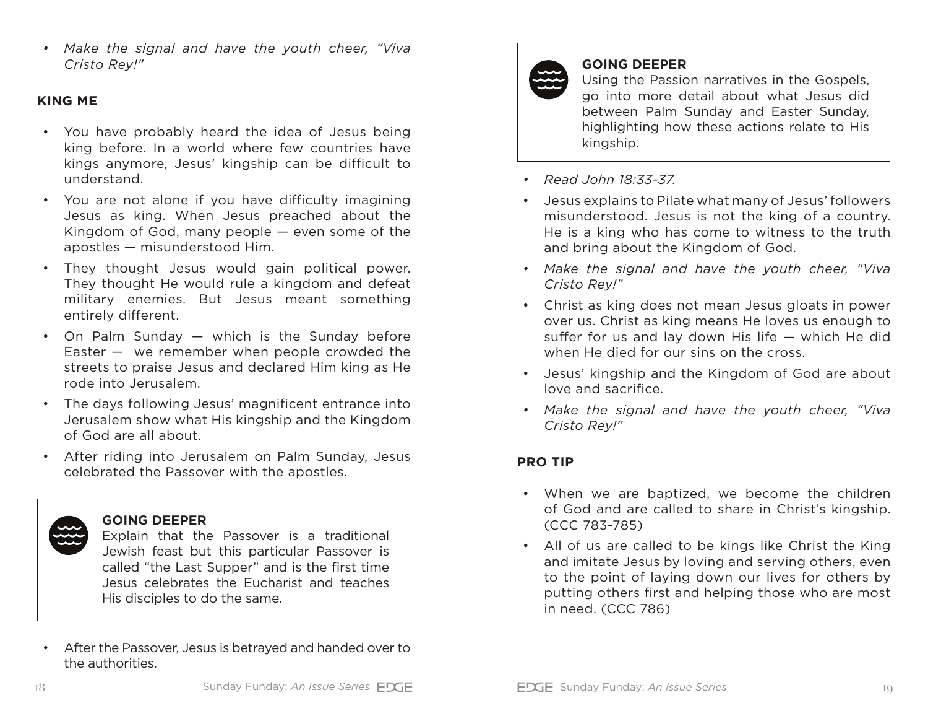*• Make the signal and have the youth cheer, "Viva Cristo Rey!"*

#### **KING ME**

- You have probably heard the idea of Jesus being king before. In a world where few countries have kings anymore, Jesus' kingship can be difficult to understand.
- You are not alone if you have difficulty imagining Jesus as king. When Jesus preached about the Kingdom of God, many people — even some of the apostles — misunderstood Him.
- They thought Jesus would gain political power. They thought He would rule a kingdom and defeat military enemies. But Jesus meant something entirely different.
- On Palm Sunday which is the Sunday before Easter  $-$  we remember when people crowded the streets to praise Jesus and declared Him king as He rode into Jerusalem.
- The days following Jesus' magnificent entrance into Jerusalem show what His kingship and the Kingdom of God are all about.
- After riding into Jerusalem on Palm Sunday, Jesus celebrated the Passover with the apostles.

#### **GOING DEEPER**

Explain that the Passover is a traditional Jewish feast but this particular Passover is called "the Last Supper" and is the first time Jesus celebrates the Eucharist and teaches His disciples to do the same.

• After the Passover, Jesus is betrayed and handed over to the authorities.



# **GOING DEEPER**

Using the Passion narratives in the Gospels, go into more detail about what Jesus did between Palm Sunday and Easter Sunday, highlighting how these actions relate to His kingship.

- *• Read John 18:33-37.*
- Jesus explains to Pilate what many of Jesus' followers misunderstood. Jesus is not the king of a country. He is a king who has come to witness to the truth and bring about the Kingdom of God.
- *• Make the signal and have the youth cheer, "Viva Cristo Rey!"*
- Christ as king does not mean Jesus gloats in power over us. Christ as king means He loves us enough to suffer for us and lay down His life — which He did when He died for our sins on the cross.
- Jesus' kingship and the Kingdom of God are about love and sacrifice.
- *• Make the signal and have the youth cheer, "Viva Cristo Rey!"*

# **PRO TIP**

- When we are baptized, we become the children of God and are called to share in Christ's kingship. (CCC 783-785)
- All of us are called to be kings like Christ the King and imitate Jesus by loving and serving others, even to the point of laying down our lives for others by putting others first and helping those who are most in need. (CCC 786)